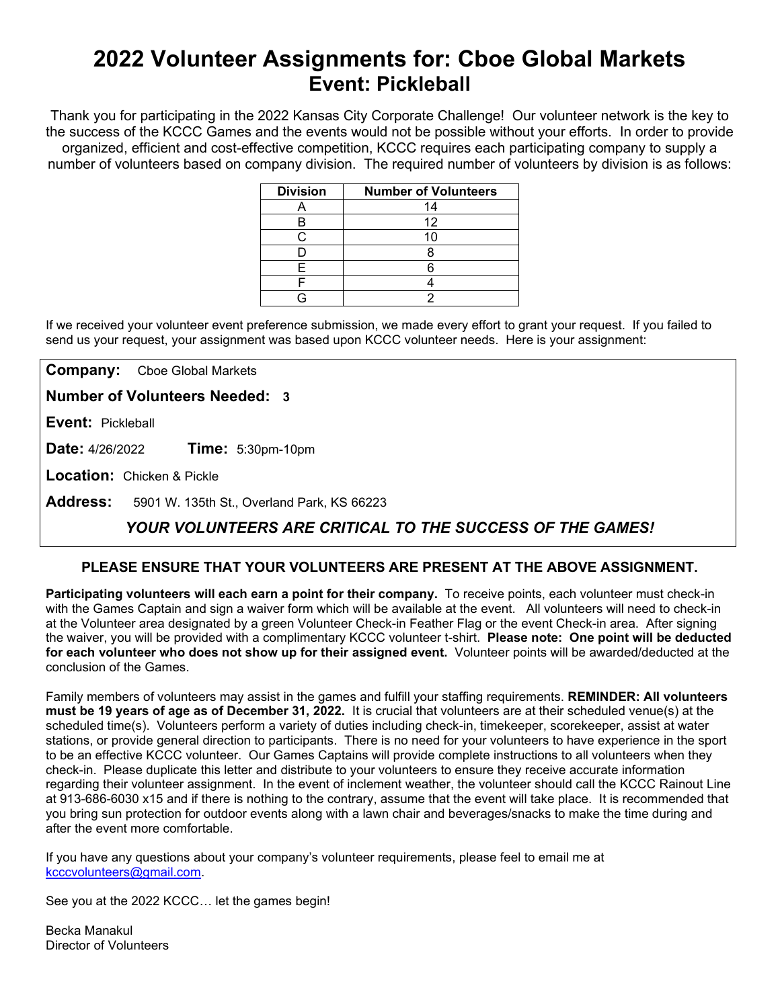# **2022 Volunteer Assignments for: Cboe Global Markets Event: Pickleball**

Thank you for participating in the 2022 Kansas City Corporate Challenge! Our volunteer network is the key to the success of the KCCC Games and the events would not be possible without your efforts.In order to provide organized, efficient and cost-effective competition, KCCC requires each participating company to supply a number of volunteers based on company division. The required number of volunteers by division is as follows:

| <b>Division</b> | <b>Number of Volunteers</b> |
|-----------------|-----------------------------|
|                 | 14                          |
| В               | 12                          |
|                 |                             |
|                 |                             |
| F               |                             |
|                 |                             |
|                 |                             |

If we received your volunteer event preference submission, we made every effort to grant your request. If you failed to send us your request, your assignment was based upon KCCC volunteer needs. Here is your assignment:

**Company:** Cboe Global Markets

**Number of Volunteers Needed: 3**

**Event:** Pickleball

**Date:** 4/26/2022 **Time:** 5:30pm-10pm

**Location:** Chicken & Pickle

**Address:** 5901 W. 135th St., Overland Park, KS 66223

## *YOUR VOLUNTEERS ARE CRITICAL TO THE SUCCESS OF THE GAMES!*

### **PLEASE ENSURE THAT YOUR VOLUNTEERS ARE PRESENT AT THE ABOVE ASSIGNMENT.**

**Participating volunteers will each earn a point for their company.** To receive points, each volunteer must check-in with the Games Captain and sign a waiver form which will be available at the event. All volunteers will need to check-in at the Volunteer area designated by a green Volunteer Check-in Feather Flag or the event Check-in area. After signing the waiver, you will be provided with a complimentary KCCC volunteer t-shirt. **Please note: One point will be deducted for each volunteer who does not show up for their assigned event.** Volunteer points will be awarded/deducted at the conclusion of the Games.

Family members of volunteers may assist in the games and fulfill your staffing requirements. **REMINDER: All volunteers must be 19 years of age as of December 31, 2022.** It is crucial that volunteers are at their scheduled venue(s) at the scheduled time(s). Volunteers perform a variety of duties including check-in, timekeeper, scorekeeper, assist at water stations, or provide general direction to participants. There is no need for your volunteers to have experience in the sport to be an effective KCCC volunteer. Our Games Captains will provide complete instructions to all volunteers when they check-in. Please duplicate this letter and distribute to your volunteers to ensure they receive accurate information regarding their volunteer assignment. In the event of inclement weather, the volunteer should call the KCCC Rainout Line at 913-686-6030 x15 and if there is nothing to the contrary, assume that the event will take place. It is recommended that you bring sun protection for outdoor events along with a lawn chair and beverages/snacks to make the time during and after the event more comfortable.

If you have any questions about your company's volunteer requirements, please feel to email me at [kcccvolunteers@gmail.com.](mailto:kcccvolunteers@gmail.com)

See you at the 2022 KCCC… let the games begin!

Becka Manakul Director of Volunteers